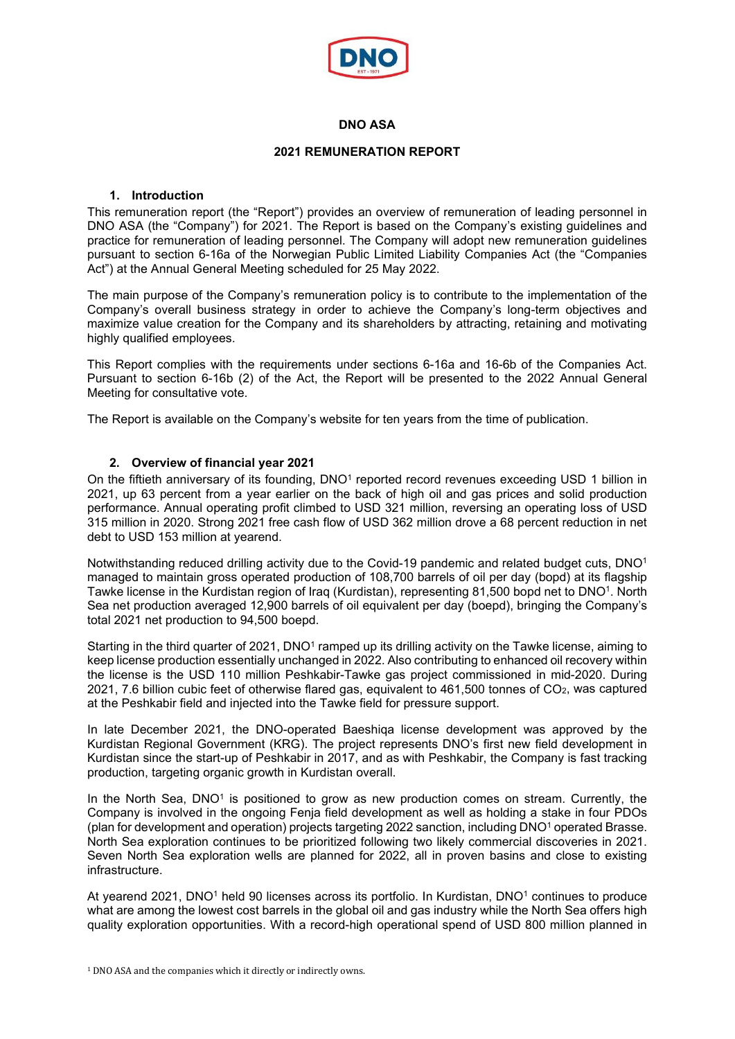

# **DNO ASA**

# **2021 REMUNERATION REPORT**

# **1. Introduction**

This remuneration report (the "Report") provides an overview of remuneration of leading personnel in DNO ASA (the "Company") for 2021. The Report is based on the Company's existing guidelines and practice for remuneration of leading personnel. The Company will adopt new remuneration guidelines pursuant to section 6-16a of the Norwegian Public Limited Liability Companies Act (the "Companies Act") at the Annual General Meeting scheduled for 25 May 2022.

The main purpose of the Company's remuneration policy is to contribute to the implementation of the Company's overall business strategy in order to achieve the Company's long-term objectives and maximize value creation for the Company and its shareholders by attracting, retaining and motivating highly qualified employees.

This Report complies with the requirements under sections 6-16a and 16-6b of the Companies Act. Pursuant to section 6-16b (2) of the Act, the Report will be presented to the 2022 Annual General Meeting for consultative vote.

The Report is available on the Company's website for ten years from the time of publication.

## **2. Overview of financial year 2021**

On the fiftieth anniversary of its founding, DNO<sup>1</sup> reported record revenues exceeding USD 1 billion in 2021, up 63 percent from a year earlier on the back of high oil and gas prices and solid production performance. Annual operating profit climbed to USD 321 million, reversing an operating loss of USD 315 million in 2020. Strong 2021 free cash flow of USD 362 million drove a 68 percent reduction in net debt to USD 153 million at yearend.

Notwithstanding reduced drilling activity due to the Covid-19 pandemic and related budget cuts, DNO1 managed to maintain gross operated production of 108,700 barrels of oil per day (bopd) at its flagship Tawke license in the Kurdistan region of Iraq (Kurdistan), representing 81,500 bopd net to DNO1. North Sea net production averaged 12,900 barrels of oil equivalent per day (boepd), bringing the Company's total 2021 net production to 94,500 boepd.

Starting in the third quarter of 2021, DNO<sup>1</sup> ramped up its drilling activity on the Tawke license, aiming to keep license production essentially unchanged in 2022. Also contributing to enhanced oil recovery within the license is the USD 110 million Peshkabir-Tawke gas project commissioned in mid-2020. During 2021, 7.6 billion cubic feet of otherwise flared gas, equivalent to 461,500 tonnes of CO2, was captured at the Peshkabir field and injected into the Tawke field for pressure support.

In late December 2021, the DNO-operated Baeshiqa license development was approved by the Kurdistan Regional Government (KRG). The project represents DNO's first new field development in Kurdistan since the start-up of Peshkabir in 2017, and as with Peshkabir, the Company is fast tracking production, targeting organic growth in Kurdistan overall.

In the North Sea,  $DNO<sup>1</sup>$  is positioned to grow as new production comes on stream. Currently, the Company is involved in the ongoing Fenja field development as well as holding a stake in four PDOs (plan for development and operation) projects targeting 2022 sanction, including DNO1 operated Brasse. North Sea exploration continues to be prioritized following two likely commercial discoveries in 2021. Seven North Sea exploration wells are planned for 2022, all in proven basins and close to existing infrastructure.

At yearend 2021, DNO<sup>1</sup> held 90 licenses across its portfolio. In Kurdistan, DNO<sup>1</sup> continues to produce what are among the lowest cost barrels in the global oil and gas industry while the North Sea offers high quality exploration opportunities. With a record-high operational spend of USD 800 million planned in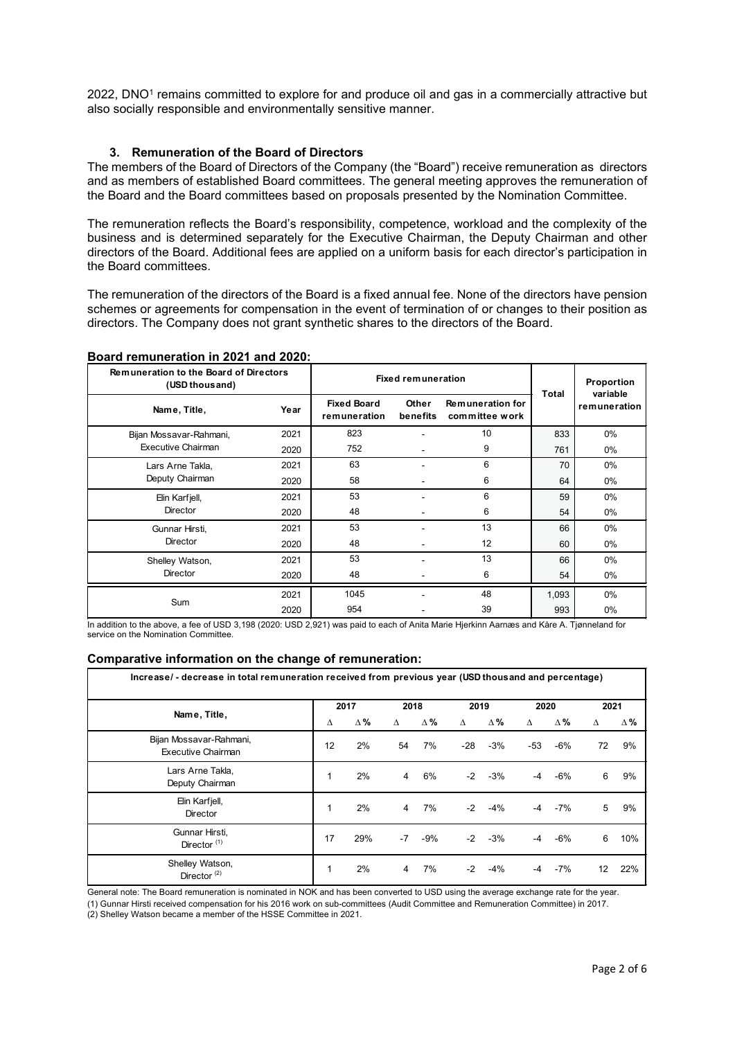2022, DNO<sup>1</sup> remains committed to explore for and produce oil and gas in a commercially attractive but also socially responsible and environmentally sensitive manner.

## **3. Remuneration of the Board of Directors**

The members of the Board of Directors of the Company (the "Board") receive remuneration as directors and as members of established Board committees. The general meeting approves the remuneration of the Board and the Board committees based on proposals presented by the Nomination Committee.

The remuneration reflects the Board's responsibility, competence, workload and the complexity of the business and is determined separately for the Executive Chairman, the Deputy Chairman and other directors of the Board. Additional fees are applied on a uniform basis for each director's participation in the Board committees.

The remuneration of the directors of the Board is a fixed annual fee. None of the directors have pension schemes or agreements for compensation in the event of termination of or changes to their position as directors. The Company does not grant synthetic shares to the directors of the Board.

#### **Board remuneration in 2021 and 2020:**

| <b>Remuneration to the Board of Directors</b><br>(USD thous and) | <b>Fixed remuneration</b> |                                    | Proportion<br>variable |                                    |              |              |  |
|------------------------------------------------------------------|---------------------------|------------------------------------|------------------------|------------------------------------|--------------|--------------|--|
| Name, Title,                                                     | Year                      | <b>Fixed Board</b><br>remuneration | Other<br>benefits      | Remuneration for<br>committee work | <b>Total</b> | remuneration |  |
| Bijan Mossavar-Rahmani,                                          | 2021                      | 823                                |                        | 10                                 | 833          | $0\%$        |  |
| Executive Chairman                                               | 2020                      | 752                                |                        | 9                                  | 761          | $0\%$        |  |
| Lars Arne Takla,                                                 | 2021                      | 63                                 |                        | 6                                  | 70           | $0\%$        |  |
| Deputy Chairman                                                  | 2020                      | 58                                 |                        | 6                                  | 64           | $0\%$        |  |
| Elin Karfjell,                                                   | 2021                      | 53                                 |                        | 6                                  | 59           | 0%           |  |
| <b>Director</b>                                                  | 2020                      | 48                                 |                        | 6                                  | 54           | $0\%$        |  |
| Gunnar Hirsti,                                                   | 2021                      | 53                                 |                        | 13                                 | 66           | $0\%$        |  |
| <b>Director</b>                                                  | 2020                      | 48                                 |                        | 12                                 | 60           | $0\%$        |  |
| Shelley Watson,                                                  | 2021                      | 53                                 |                        | 13                                 | 66           | $0\%$        |  |
| <b>Director</b>                                                  | 2020                      | 48                                 |                        | 6                                  | 54           | 0%           |  |
|                                                                  | 2021                      | 1045                               | ۰                      | 48                                 | 1,093        | $0\%$        |  |
| Sum                                                              | 2020                      | 954                                |                        | 39                                 | 993          | $0\%$        |  |

In addition to the above, a fee of USD 3,198 (2020: USD 2,921) was paid to each of Anita Marie Hjerkinn Aarnæs and Kåre A. Tjønneland for service on the Nomination Committee.

#### **Comparative information on the change of remuneration:**

| Increase/ - decrease in total remuneration received from previous year (USD thousand and percentage) |      |            |      |       |       |            |      |       |      |            |
|------------------------------------------------------------------------------------------------------|------|------------|------|-------|-------|------------|------|-------|------|------------|
| Name, Title,                                                                                         | 2017 |            | 2018 |       | 2019  |            | 2020 |       | 2021 |            |
|                                                                                                      | Δ    | $\Delta\%$ | Δ    | Δ%    | Δ     | $\Delta$ % | Δ    | Δ%    | Δ    | $\Delta$ % |
| Bijan Mossavar-Rahmani,<br>Executive Chairman                                                        | 12   | 2%         | 54   | 7%    | $-28$ | $-3%$      | -53  | $-6%$ | 72   | 9%         |
| Lars Arne Takla,<br>Deputy Chairman                                                                  | 1    | 2%         | 4    | 6%    | $-2$  | $-3%$      | -4   | $-6%$ | 6    | 9%         |
| Elin Karfjell,<br><b>Director</b>                                                                    | 1    | 2%         | 4    | 7%    | $-2$  | $-4%$      | -4   | $-7%$ | 5    | 9%         |
| Gunnar Hirsti,<br>Director $(1)$                                                                     | 17   | 29%        | $-7$ | $-9%$ | $-2$  | $-3%$      | -4   | $-6%$ | 6    | 10%        |
| Shelley Watson,<br>Director $(2)$                                                                    | 1    | 2%         | 4    | 7%    | $-2$  | $-4%$      | -4   | $-7%$ | 12   | 22%        |

General note: The Board remuneration is nominated in NOK and has been converted to USD using the average exchange rate for the year.

(1) Gunnar Hirsti received compensation for his 2016 work on sub-committees (Audit Committee and Remuneration Committee) in 2017.

(2) Shelley Watson became a member of the HSSE Committee in 2021.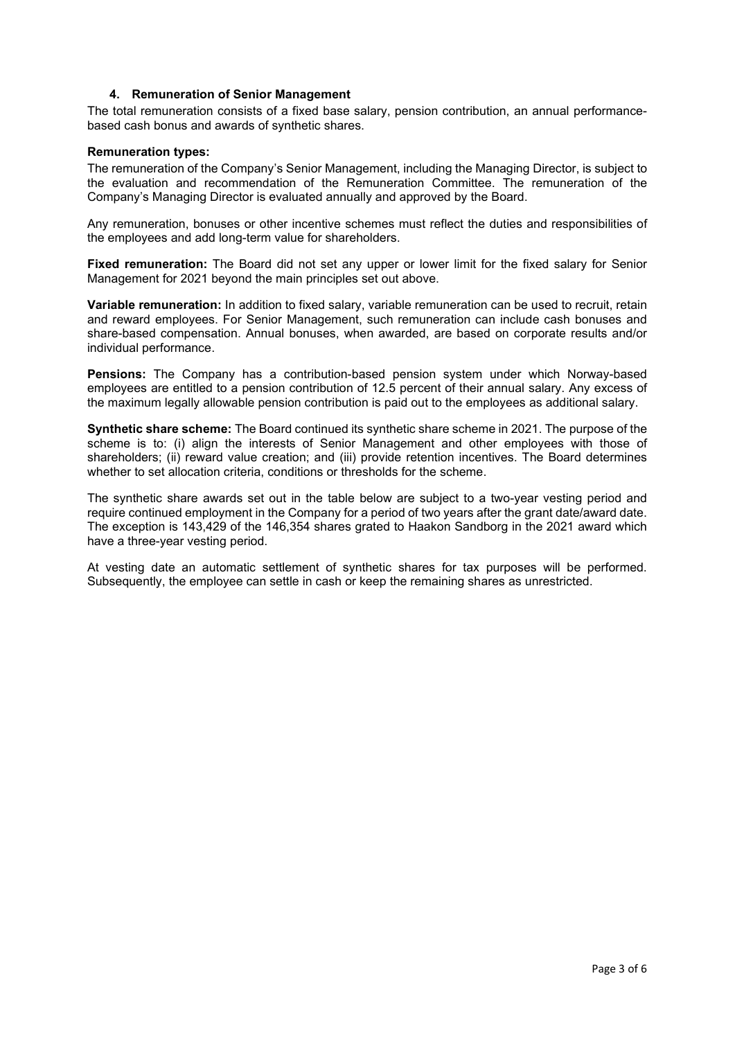## **4. Remuneration of Senior Management**

The total remuneration consists of a fixed base salary, pension contribution, an annual performancebased cash bonus and awards of synthetic shares.

#### **Remuneration types:**

The remuneration of the Company's Senior Management, including the Managing Director, is subject to the evaluation and recommendation of the Remuneration Committee. The remuneration of the Company's Managing Director is evaluated annually and approved by the Board.

Any remuneration, bonuses or other incentive schemes must reflect the duties and responsibilities of the employees and add long-term value for shareholders.

**Fixed remuneration:** The Board did not set any upper or lower limit for the fixed salary for Senior Management for 2021 beyond the main principles set out above.

**Variable remuneration:** In addition to fixed salary, variable remuneration can be used to recruit, retain and reward employees. For Senior Management, such remuneration can include cash bonuses and share-based compensation. Annual bonuses, when awarded, are based on corporate results and/or individual performance.

**Pensions:** The Company has a contribution-based pension system under which Norway-based employees are entitled to a pension contribution of 12.5 percent of their annual salary. Any excess of the maximum legally allowable pension contribution is paid out to the employees as additional salary.

**Synthetic share scheme:** The Board continued its synthetic share scheme in 2021. The purpose of the scheme is to: (i) align the interests of Senior Management and other employees with those of shareholders; (ii) reward value creation; and (iii) provide retention incentives. The Board determines whether to set allocation criteria, conditions or thresholds for the scheme.

The synthetic share awards set out in the table below are subject to a two-year vesting period and require continued employment in the Company for a period of two years after the grant date/award date. The exception is 143,429 of the 146,354 shares grated to Haakon Sandborg in the 2021 award which have a three-year vesting period.

At vesting date an automatic settlement of synthetic shares for tax purposes will be performed. Subsequently, the employee can settle in cash or keep the remaining shares as unrestricted.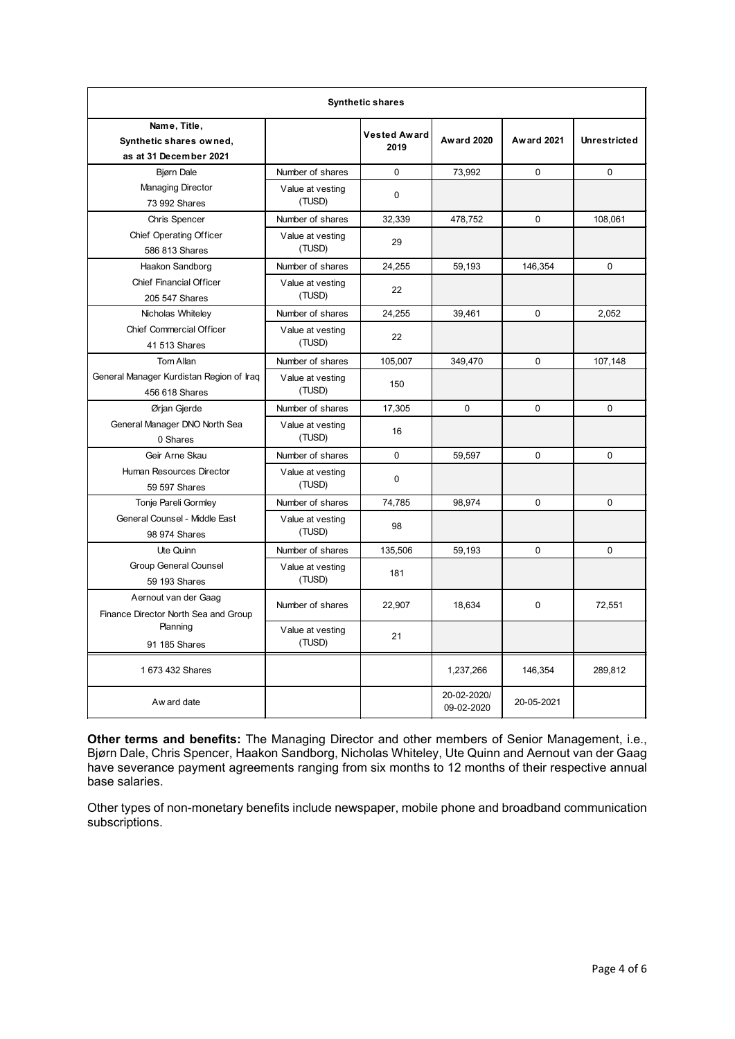| <b>Synthetic shares</b>                                           |                            |                             |                           |                   |                     |  |  |  |  |
|-------------------------------------------------------------------|----------------------------|-----------------------------|---------------------------|-------------------|---------------------|--|--|--|--|
| Name, Title,<br>Synthetic shares owned,<br>as at 31 December 2021 |                            | <b>Vested Award</b><br>2019 | <b>Award 2020</b>         | <b>Award 2021</b> | <b>Unrestricted</b> |  |  |  |  |
| <b>Bjørn Dale</b>                                                 | Number of shares           | $\Omega$                    | 73,992                    | $\Omega$          | $\Omega$            |  |  |  |  |
| <b>Managing Director</b><br>73 992 Shares                         | Value at vesting<br>(TUSD) | $\mathbf{0}$                |                           |                   |                     |  |  |  |  |
| Chris Spencer                                                     | Number of shares           | 32,339                      | 478,752                   | $\Omega$          | 108,061             |  |  |  |  |
| <b>Chief Operating Officer</b><br>586 813 Shares                  | Value at vesting<br>(TUSD) | 29                          |                           |                   |                     |  |  |  |  |
| Haakon Sandborg                                                   | Number of shares           | 24,255                      | 59.193                    | 146,354           | $\mathbf 0$         |  |  |  |  |
| <b>Chief Financial Officer</b><br>205 547 Shares                  | Value at vesting<br>(TUSD) | 22                          |                           |                   |                     |  |  |  |  |
| Nicholas Whiteley                                                 | Number of shares           | 24,255                      | 39,461                    | 0                 | 2,052               |  |  |  |  |
| <b>Chief Commercial Officer</b><br>41 513 Shares                  | Value at vesting<br>(TUSD) | 22                          |                           |                   |                     |  |  |  |  |
| Tom Allan                                                         | Number of shares           | 105,007                     | 349.470                   | $\Omega$          | 107,148             |  |  |  |  |
| General Manager Kurdistan Region of Iraq<br>456 618 Shares        | Value at vesting<br>(TUSD) | 150                         |                           |                   |                     |  |  |  |  |
| Ørjan Gjerde                                                      | Number of shares           | 17,305                      | $\Omega$                  | $\Omega$          | $\Omega$            |  |  |  |  |
| General Manager DNO North Sea<br>0 Shares                         | Value at vesting<br>(TUSD) | 16                          |                           |                   |                     |  |  |  |  |
| Geir Arne Skau                                                    | Number of shares           | $\Omega$                    | 59,597                    | $\Omega$          | $\Omega$            |  |  |  |  |
| Human Resources Director<br>59 597 Shares                         | Value at vesting<br>(TUSD) | 0                           |                           |                   |                     |  |  |  |  |
| Tonje Pareli Gormley                                              | Number of shares           | 74,785                      | 98,974                    | 0                 | $\Omega$            |  |  |  |  |
| General Counsel - Middle East<br>98 974 Shares                    | Value at vesting<br>(TUSD) | 98                          |                           |                   |                     |  |  |  |  |
| Ute Quinn                                                         | Number of shares           | 135,506                     | 59.193                    | 0                 | $\Omega$            |  |  |  |  |
| <b>Group General Counsel</b><br>59 193 Shares                     | Value at vesting<br>(TUSD) | 181                         |                           |                   |                     |  |  |  |  |
| Aernout van der Gaag<br>Finance Director North Sea and Group      | Number of shares           | 22,907                      | 18,634                    | $\mathbf{0}$      | 72,551              |  |  |  |  |
| Planning<br>91 185 Shares                                         | Value at vesting<br>(TUSD) | 21                          |                           |                   |                     |  |  |  |  |
| 1 673 432 Shares                                                  |                            |                             | 1,237,266                 | 146,354           | 289,812             |  |  |  |  |
| Aw ard date                                                       |                            |                             | 20-02-2020/<br>09-02-2020 | 20-05-2021        |                     |  |  |  |  |

**Other terms and benefits:** The Managing Director and other members of Senior Management, i.e., Bjørn Dale, Chris Spencer, Haakon Sandborg, Nicholas Whiteley, Ute Quinn and Aernout van der Gaag have severance payment agreements ranging from six months to 12 months of their respective annual base salaries.

Other types of non-monetary benefits include newspaper, mobile phone and broadband communication subscriptions.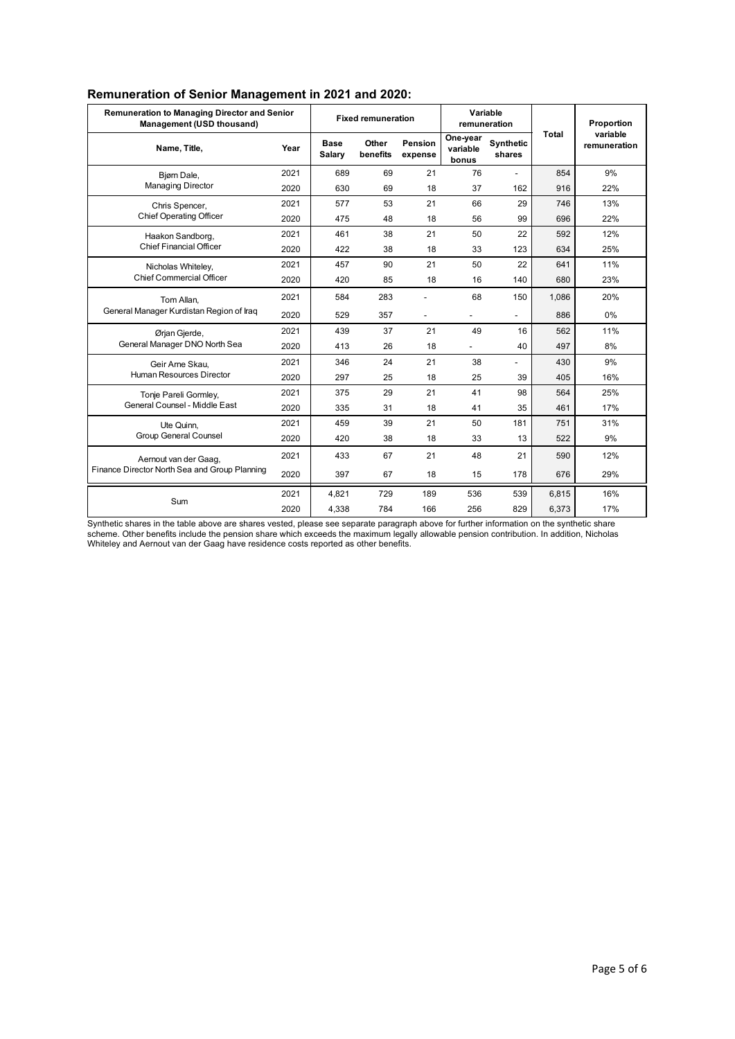| <b>Remuneration to Managing Director and Senior</b><br>Management (USD thousand) |      |                       | <b>Fixed remuneration</b> |                          |                               | Variable<br>remuneration |       | Proportion               |  |
|----------------------------------------------------------------------------------|------|-----------------------|---------------------------|--------------------------|-------------------------------|--------------------------|-------|--------------------------|--|
| Name, Title,                                                                     | Year | <b>Base</b><br>Salary | Other<br>benefits         | Pension<br>expense       | One-year<br>variable<br>bonus | Synthetic<br>shares      | Total | variable<br>remuneration |  |
| Bjørn Dale,                                                                      | 2021 | 689                   | 69                        | 21                       | 76                            |                          | 854   | 9%                       |  |
| <b>Managing Director</b>                                                         | 2020 | 630                   | 69                        | 18                       | 37                            | 162                      | 916   | 22%                      |  |
| Chris Spencer,                                                                   | 2021 | 577                   | 53                        | 21                       | 66                            | 29                       | 746   | 13%                      |  |
| <b>Chief Operating Officer</b>                                                   | 2020 | 475                   | 48                        | 18                       | 56                            | 99                       | 696   | 22%                      |  |
| Haakon Sandborg,                                                                 | 2021 | 461                   | 38                        | 21                       | 50                            | 22                       | 592   | 12%                      |  |
| Chief Financial Officer                                                          | 2020 | 422                   | 38                        | 18                       | 33                            | 123                      | 634   | 25%                      |  |
| Nicholas Whiteley,                                                               | 2021 | 457                   | 90                        | 21                       | 50                            | 22                       | 641   | 11%                      |  |
| <b>Chief Commercial Officer</b>                                                  | 2020 | 420                   | 85                        | 18                       | 16                            | 140                      | 680   | 23%                      |  |
| Tom Allan,<br>General Manager Kurdistan Region of Iraq                           | 2021 | 584                   | 283                       | $\overline{a}$           | 68                            | 150                      | 1.086 | 20%                      |  |
|                                                                                  | 2020 | 529                   | 357                       | $\overline{\phantom{a}}$ |                               | $\overline{\phantom{a}}$ | 886   | 0%                       |  |
| Ørjan Gjerde,                                                                    | 2021 | 439                   | 37                        | 21                       | 49                            | 16                       | 562   | 11%                      |  |
| General Manager DNO North Sea                                                    | 2020 | 413                   | 26                        | 18                       | $\overline{a}$                | 40                       | 497   | 8%                       |  |
| Geir Arne Skau.                                                                  | 2021 | 346                   | 24                        | 21                       | 38                            |                          | 430   | 9%                       |  |
| Human Resources Director                                                         | 2020 | 297                   | 25                        | 18                       | 25                            | 39                       | 405   | 16%                      |  |
| Tonje Pareli Gormley,                                                            | 2021 | 375                   | 29                        | 21                       | 41                            | 98                       | 564   | 25%                      |  |
| General Counsel - Middle East                                                    | 2020 | 335                   | 31                        | 18                       | 41                            | 35                       | 461   | 17%                      |  |
| Ute Quinn,                                                                       | 2021 | 459                   | 39                        | 21                       | 50                            | 181                      | 751   | 31%                      |  |
| Group General Counsel                                                            | 2020 | 420                   | 38                        | 18                       | 33                            | 13                       | 522   | 9%                       |  |
| Aernout van der Gaag,                                                            | 2021 | 433                   | 67                        | 21                       | 48                            | 21                       | 590   | 12%                      |  |
| Finance Director North Sea and Group Planning                                    | 2020 | 397                   | 67                        | 18                       | 15                            | 178                      | 676   | 29%                      |  |
| Sum                                                                              | 2021 | 4,821                 | 729                       | 189                      | 536                           | 539                      | 6,815 | 16%                      |  |
|                                                                                  | 2020 | 4,338                 | 784                       | 166                      | 256                           | 829                      | 6,373 | 17%                      |  |

# **Remuneration of Senior Management in 2021 and 2020:**

Synthetic shares in the table above are shares vested, please see separate paragraph above for further information on the synthetic share scheme. Other benefits include the pension share which exceeds the maximum legally allowable pension contribution. In addition, Nicholas Whiteley and Aernout van der Gaag have residence costs reported as other benefits.